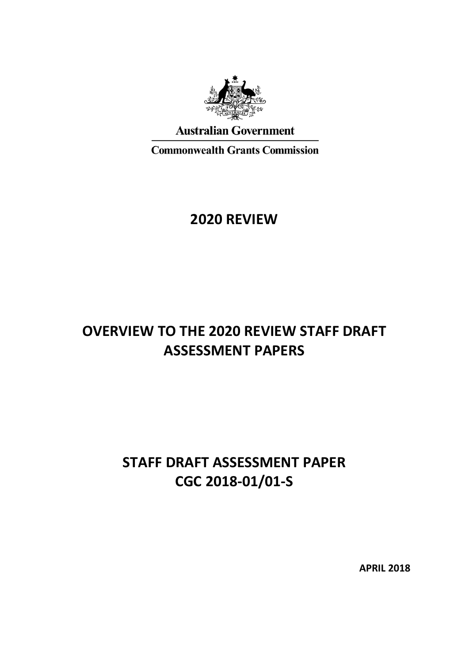

**Australian Government** 

**Commonwealth Grants Commission** 

## **2020 REVIEW**

# **OVERVIEW TO THE 2020 REVIEW STAFF DRAFT ASSESSMENT PAPERS**

# **STAFF DRAFT ASSESSMENT PAPER CGC 2018-01/01-S**

**APRIL 2018**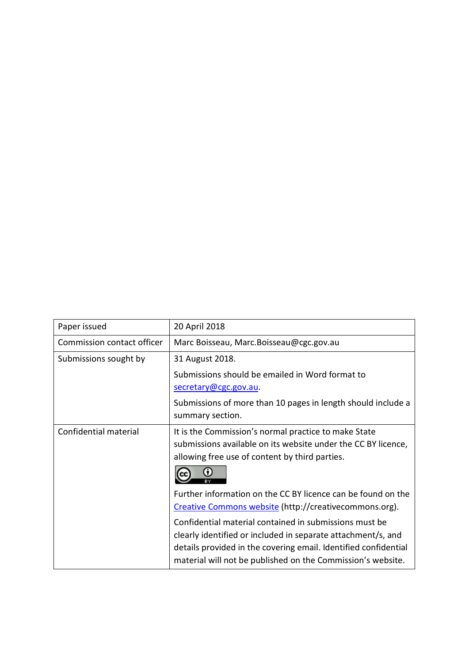| Paper issued               | 20 April 2018                                                                                                                                                                                                                                            |  |  |  |  |  |
|----------------------------|----------------------------------------------------------------------------------------------------------------------------------------------------------------------------------------------------------------------------------------------------------|--|--|--|--|--|
| Commission contact officer | Marc Boisseau, Marc.Boisseau@cgc.gov.au                                                                                                                                                                                                                  |  |  |  |  |  |
| Submissions sought by      | 31 August 2018.                                                                                                                                                                                                                                          |  |  |  |  |  |
|                            | Submissions should be emailed in Word format to<br>secretary@cgc.gov.au.                                                                                                                                                                                 |  |  |  |  |  |
|                            | Submissions of more than 10 pages in length should include a<br>summary section.                                                                                                                                                                         |  |  |  |  |  |
| Confidential material      | It is the Commission's normal practice to make State<br>submissions available on its website under the CC BY licence,<br>allowing free use of content by third parties.                                                                                  |  |  |  |  |  |
|                            | Further information on the CC BY licence can be found on the<br>Creative Commons website (http://creativecommons.org).                                                                                                                                   |  |  |  |  |  |
|                            | Confidential material contained in submissions must be<br>clearly identified or included in separate attachment/s, and<br>details provided in the covering email. Identified confidential<br>material will not be published on the Commission's website. |  |  |  |  |  |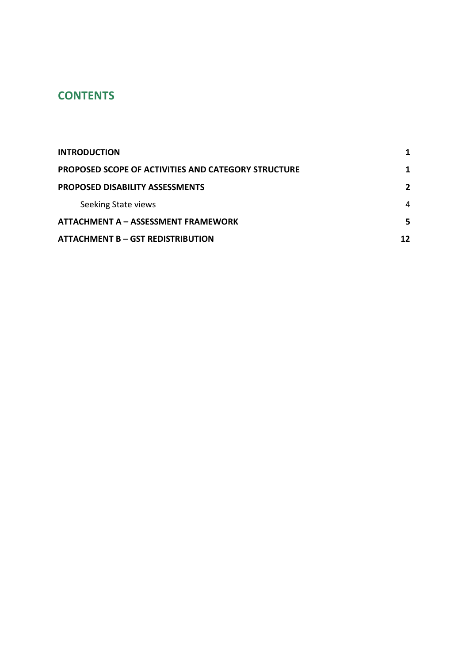## **CONTENTS**

| <b>INTRODUCTION</b>                                 |    |  |  |
|-----------------------------------------------------|----|--|--|
| PROPOSED SCOPE OF ACTIVITIES AND CATEGORY STRUCTURE |    |  |  |
| <b>PROPOSED DISABILITY ASSESSMENTS</b>              | 2  |  |  |
| Seeking State views                                 | 4  |  |  |
| ATTACHMENT A – ASSESSMENT FRAMEWORK                 |    |  |  |
| <b>ATTACHMENT B – GST REDISTRIBUTION</b>            | 12 |  |  |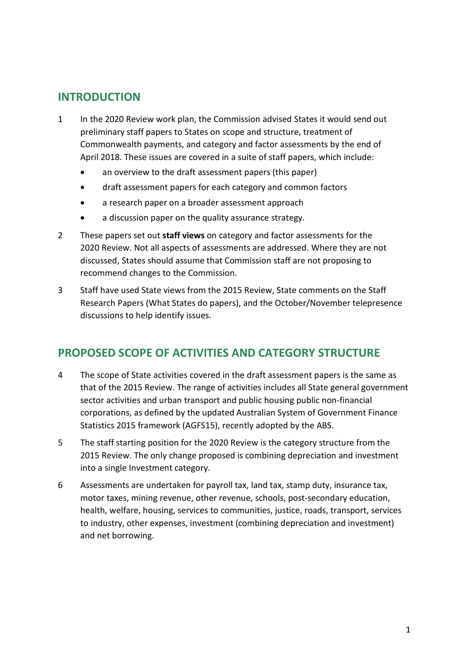### <span id="page-3-0"></span>**INTRODUCTION**

- 1 In the 2020 Review work plan, the Commission advised States it would send out preliminary staff papers to States on scope and structure, treatment of Commonwealth payments, and category and factor assessments by the end of April 2018. These issues are covered in a suite of staff papers, which include:
	- an overview to the draft assessment papers (this paper)
	- draft assessment papers for each category and common factors
	- a research paper on a broader assessment approach
	- a discussion paper on the quality assurance strategy.
- 2 These papers set out **staff views** on category and factor assessments for the 2020 Review. Not all aspects of assessments are addressed. Where they are not discussed, States should assume that Commission staff are not proposing to recommend changes to the Commission.
- 3 Staff have used State views from the 2015 Review, State comments on the Staff Research Papers (What States do papers), and the October/November telepresence discussions to help identify issues.

### <span id="page-3-1"></span>**PROPOSED SCOPE OF ACTIVITIES AND CATEGORY STRUCTURE**

- 4 The scope of State activities covered in the draft assessment papers is the same as that of the 2015 Review. The range of activities includes all State general government sector activities and urban transport and public housing public non-financial corporations, as defined by the updated Australian System of Government Finance Statistics 2015 framework (AGFS15), recently adopted by the ABS.
- 5 The staff starting position for the 2020 Review is the category structure from the 2015 Review. The only change proposed is combining depreciation and investment into a single Investment category.
- 6 Assessments are undertaken for payroll tax, land tax, stamp duty, insurance tax, motor taxes, mining revenue, other revenue, schools, post-secondary education, health, welfare, housing, services to communities, justice, roads, transport, services to industry, other expenses, investment (combining depreciation and investment) and net borrowing.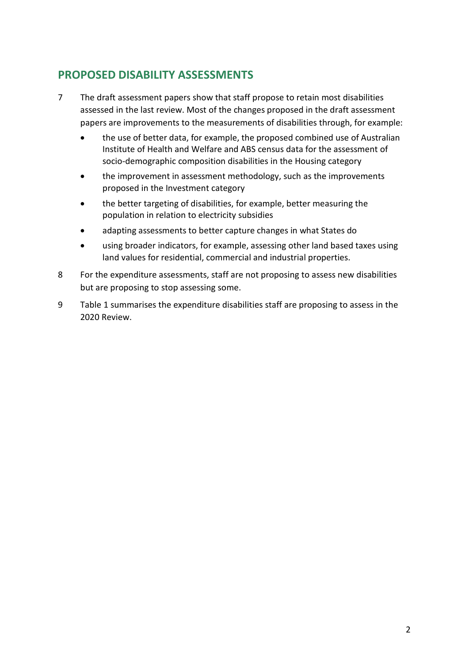## <span id="page-4-0"></span>**PROPOSED DISABILITY ASSESSMENTS**

- 7 The draft assessment papers show that staff propose to retain most disabilities assessed in the last review. Most of the changes proposed in the draft assessment papers are improvements to the measurements of disabilities through, for example:
	- the use of better data, for example, the proposed combined use of Australian Institute of Health and Welfare and ABS census data for the assessment of socio-demographic composition disabilities in the Housing category
	- the improvement in assessment methodology, such as the improvements proposed in the Investment category
	- the better targeting of disabilities, for example, better measuring the population in relation to electricity subsidies
	- adapting assessments to better capture changes in what States do
	- using broader indicators, for example, assessing other land based taxes using land values for residential, commercial and industrial properties.
- 8 For the expenditure assessments, staff are not proposing to assess new disabilities but are proposing to stop assessing some.
- <span id="page-4-1"></span>9 [Table 1](#page-4-1) summarises the expenditure disabilities staff are proposing to assess in the 2020 Review.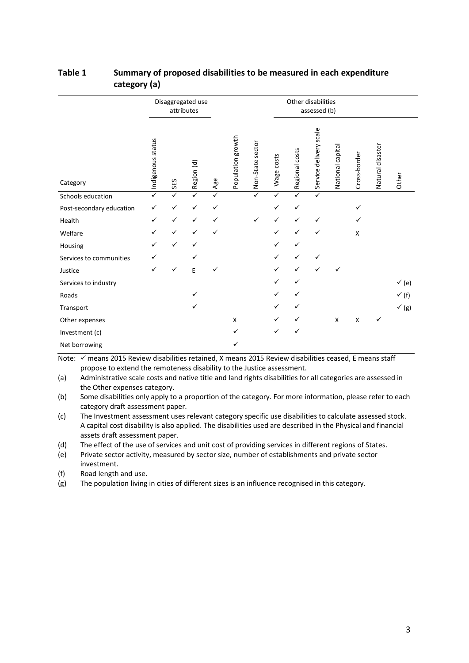|                          | Disaggregated use<br>attributes |              |              |              |                   | Other disabilities<br>assessed (b) |              |                |                        |                  |              |                  |                  |
|--------------------------|---------------------------------|--------------|--------------|--------------|-------------------|------------------------------------|--------------|----------------|------------------------|------------------|--------------|------------------|------------------|
| Category                 | Indigenous status               | SES          | Region (d)   | Age          | Population growth | Non-State sector                   | Wage costs   | Regional costs | Service delivery scale | National capital | Cross-border | Natural disaster | Other            |
| Schools education        | $\overline{\checkmark}$         | ✓            | $\checkmark$ | ✓            |                   | ✓                                  | ✓            | $\checkmark$   | ✓                      |                  |              |                  |                  |
| Post-secondary education | ✓                               | ✓            | $\checkmark$ | ✓            |                   |                                    | ✓            | ✓              |                        |                  | ✓            |                  |                  |
| Health                   | $\checkmark$                    | ✓            | $\checkmark$ | $\checkmark$ |                   | ✓                                  | ✓            | ✓              | ✓                      |                  | ✓            |                  |                  |
| Welfare                  | ✓                               | $\checkmark$ | $\checkmark$ | ✓            |                   |                                    | $\checkmark$ | ✓              | $\checkmark$           |                  | $\mathsf{x}$ |                  |                  |
| Housing                  | ✓                               | ✓            | ✓            |              |                   |                                    | ✓            | ✓              |                        |                  |              |                  |                  |
| Services to communities  | ✓                               |              | ✓            |              |                   |                                    | ✓            | ✓              | ✓                      |                  |              |                  |                  |
| Justice                  | $\checkmark$                    | ✓            | E            | ✓            |                   |                                    | ✓            | ✓              | $\checkmark$           | ✓                |              |                  |                  |
| Services to industry     |                                 |              |              |              |                   |                                    | ✓            | ✓              |                        |                  |              |                  | $\checkmark$ (e) |
| Roads                    |                                 |              | $\checkmark$ |              |                   |                                    | ✓            | ✓              |                        |                  |              |                  | $\checkmark$ (f) |
| Transport                |                                 |              | ✓            |              |                   |                                    | ✓            | ✓              |                        |                  |              |                  | $\checkmark$ (g) |
| Other expenses           |                                 |              |              |              | X                 |                                    | ✓            |                |                        | X                | X            | ✓                |                  |
| Investment (c)           |                                 |              |              |              | ✓                 |                                    | ✓            | ✓              |                        |                  |              |                  |                  |
| Net borrowing            |                                 |              |              |              | ✓                 |                                    |              |                |                        |                  |              |                  |                  |

#### **Table 1 Summary of proposed disabilities to be measured in each expenditure category (a)**

Note:  $\checkmark$  means 2015 Review disabilities retained, X means 2015 Review disabilities ceased, E means staff propose to extend the remoteness disability to the Justice assessment.

(a) Administrative scale costs and native title and land rights disabilities for all categories are assessed in the Other expenses category.

(b) Some disabilities only apply to a proportion of the category. For more information, please refer to each category draft assessment paper.

(c) The Investment assessment uses relevant category specific use disabilities to calculate assessed stock. A capital cost disability is also applied. The disabilities used are described in the Physical and financial assets draft assessment paper.

(d) The effect of the use of services and unit cost of providing services in different regions of States.

(e) Private sector activity, measured by sector size, number of establishments and private sector investment.

(f) Road length and use.

<span id="page-5-0"></span>(g) The population living in cities of different sizes is an influence recognised in this category.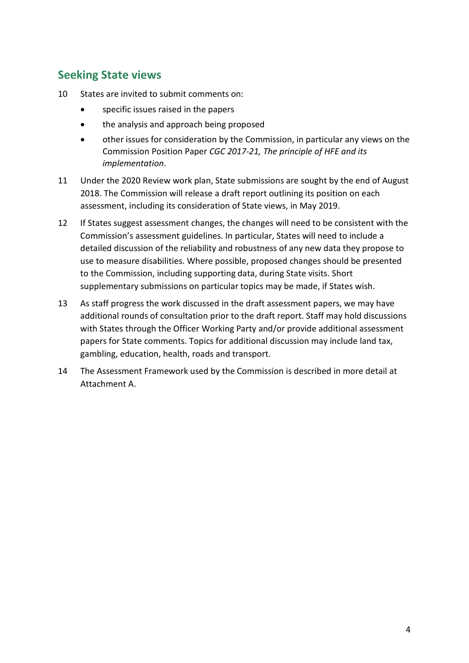## **Seeking State views**

- 10 States are invited to submit comments on:
	- specific issues raised in the papers
	- the analysis and approach being proposed
	- other issues for consideration by the Commission, in particular any views on the Commission Position Paper *CGC 2017-21, The principle of HFE and its implementation*.
- 11 Under the 2020 Review work plan, State submissions are sought by the end of August 2018. The Commission will release a draft report outlining its position on each assessment, including its consideration of State views, in May 2019.
- 12 If States suggest assessment changes, the changes will need to be consistent with the Commission's assessment guidelines. In particular, States will need to include a detailed discussion of the reliability and robustness of any new data they propose to use to measure disabilities. Where possible, proposed changes should be presented to the Commission, including supporting data, during State visits. Short supplementary submissions on particular topics may be made, if States wish.
- 13 As staff progress the work discussed in the draft assessment papers, we may have additional rounds of consultation prior to the draft report. Staff may hold discussions with States through the Officer Working Party and/or provide additional assessment papers for State comments. Topics for additional discussion may include land tax, gambling, education, health, roads and transport.
- 14 The Assessment Framework used by the Commission is described in more detail at Attachment A.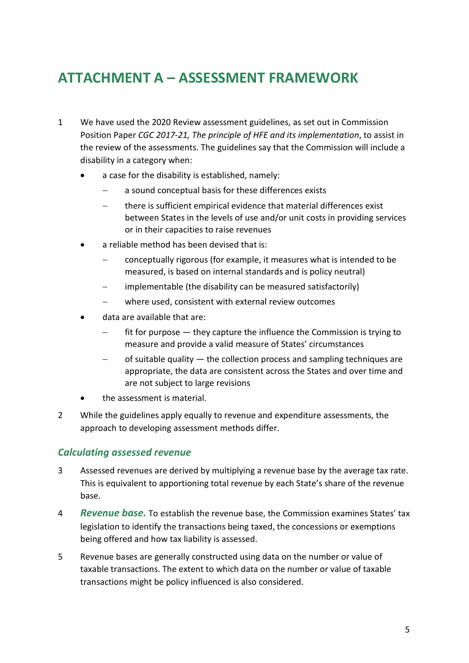# <span id="page-7-0"></span>**ATTACHMENT A – ASSESSMENT FRAMEWORK**

- 1 We have used the 2020 Review assessment guidelines, as set out in Commission Position Paper *CGC 2017-21, The principle of HFE and its implementation*, to assist in the review of the assessments. The guidelines say that the Commission will include a disability in a category when:
	- a case for the disability is established, namely:
		- a sound conceptual basis for these differences exists
		- there is sufficient empirical evidence that material differences exist between States in the levels of use and/or unit costs in providing services or in their capacities to raise revenues
	- a reliable method has been devised that is:
		- − conceptually rigorous (for example, it measures what is intended to be measured, is based on internal standards and is policy neutral)
		- implementable (the disability can be measured satisfactorily)
		- where used, consistent with external review outcomes
	- data are available that are:
		- fit for purpose they capture the influence the Commission is trying to measure and provide a valid measure of States' circumstances
		- − of suitable quality the collection process and sampling techniques are appropriate, the data are consistent across the States and over time and are not subject to large revisions
	- the assessment is material.
- 2 While the guidelines apply equally to revenue and expenditure assessments, the approach to developing assessment methods differ.

### *Calculating assessed revenue*

- 3 Assessed revenues are derived by multiplying a revenue base by the average tax rate. This is equivalent to apportioning total revenue by each State's share of the revenue base.
- 4 *Revenue base.* To establish the revenue base, the Commission examines States' tax legislation to identify the transactions being taxed, the concessions or exemptions being offered and how tax liability is assessed.
- 5 Revenue bases are generally constructed using data on the number or value of taxable transactions. The extent to which data on the number or value of taxable transactions might be policy influenced is also considered.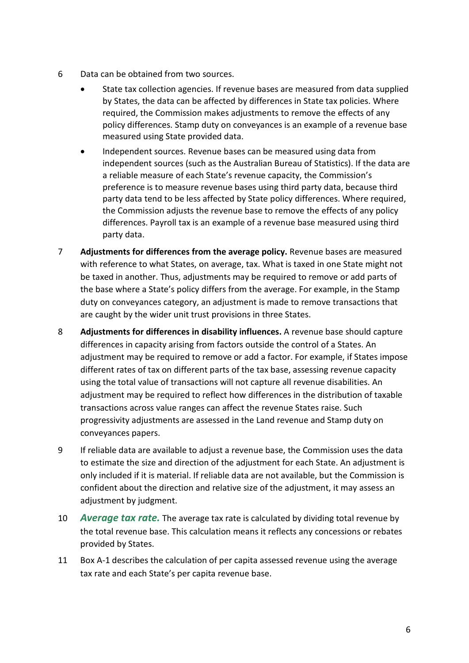- 6 Data can be obtained from two sources.
	- State tax collection agencies. If revenue bases are measured from data supplied by States, the data can be affected by differences in State tax policies. Where required, the Commission makes adjustments to remove the effects of any policy differences. Stamp duty on conveyances is an example of a revenue base measured using State provided data.
	- Independent sources. Revenue bases can be measured using data from independent sources (such as the Australian Bureau of Statistics). If the data are a reliable measure of each State's revenue capacity, the Commission's preference is to measure revenue bases using third party data, because third party data tend to be less affected by State policy differences. Where required, the Commission adjusts the revenue base to remove the effects of any policy differences. Payroll tax is an example of a revenue base measured using third party data.
- 7 **Adjustments for differences from the average policy.** Revenue bases are measured with reference to what States, on average, tax. What is taxed in one State might not be taxed in another. Thus, adjustments may be required to remove or add parts of the base where a State's policy differs from the average. For example, in the Stamp duty on conveyances category, an adjustment is made to remove transactions that are caught by the wider unit trust provisions in three States.
- 8 **Adjustments for differences in disability influences.** A revenue base should capture differences in capacity arising from factors outside the control of a States. An adjustment may be required to remove or add a factor. For example, if States impose different rates of tax on different parts of the tax base, assessing revenue capacity using the total value of transactions will not capture all revenue disabilities. An adjustment may be required to reflect how differences in the distribution of taxable transactions across value ranges can affect the revenue States raise. Such progressivity adjustments are assessed in the Land revenue and Stamp duty on conveyances papers.
- 9 If reliable data are available to adjust a revenue base, the Commission uses the data to estimate the size and direction of the adjustment for each State. An adjustment is only included if it is material. If reliable data are not available, but the Commission is confident about the direction and relative size of the adjustment, it may assess an adjustment by judgment.
- 10 *Average tax rate.* The average tax rate is calculated by dividing total revenue by the total revenue base. This calculation means it reflects any concessions or rebates provided by States.
- 11 Box A-1 describes the calculation of per capita assessed revenue using the average tax rate and each State's per capita revenue base.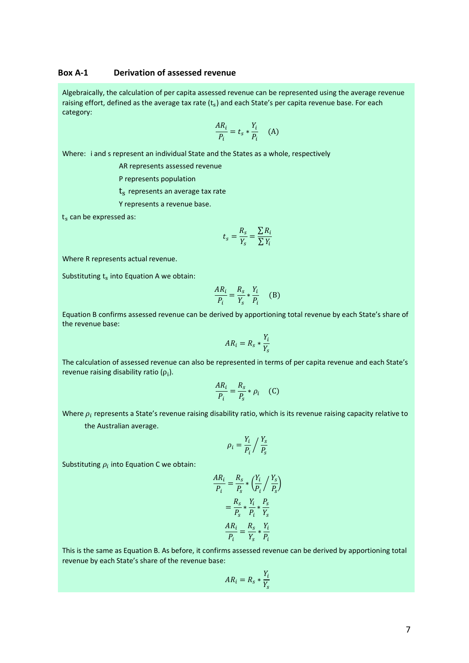#### **Box A-1 Derivation of assessed revenue**

Algebraically, the calculation of per capita assessed revenue can be represented using the average revenue raising effort, defined as the average tax rate  $(t<sub>s</sub>)$  and each State's per capita revenue base. For each category:

$$
\frac{AR_i}{P_i} = t_s * \frac{Y_i}{P_i} \quad (A)
$$

Where: i and s represent an individual State and the States as a whole, respectively

AR represents assessed revenue

P represents population

t<sub>s</sub> represents an average tax rate

Y represents a revenue base.

 $t<sub>s</sub>$  can be expressed as:

$$
t_s = \frac{R_s}{Y_s} = \frac{\sum R_i}{\sum Y_i}
$$

Where R represents actual revenue.

Substituting  $t_s$  into Equation A we obtain:

$$
\frac{AR_i}{P_i} = \frac{R_s}{Y_s} * \frac{Y_i}{P_i} \quad (B)
$$

Equation B confirms assessed revenue can be derived by apportioning total revenue by each State's share of the revenue base:

$$
AR_i = R_s * \frac{Y_i}{Y_s}
$$

The calculation of assessed revenue can also be represented in terms of per capita revenue and each State's revenue raising disability ratio  $(ρ<sub>i</sub>)$ .

$$
\frac{AR_i}{P_i} = \frac{R_s}{P_s} * \rho_i \quad (C)
$$

Where  $\rho_i$  represents a State's revenue raising disability ratio, which is its revenue raising capacity relative to

the Australian average.

$$
\rho_i = \frac{Y_i}{P_i} / \frac{Y_s}{P_s}
$$

Substituting  $\rho_i$  into Equation C we obtain:

$$
\frac{AR_i}{P_i} = \frac{R_s}{P_s} * \left(\frac{Y_i}{P_i} / \frac{Y_s}{P_s}\right)
$$

$$
= \frac{R_s}{P_s} * \frac{Y_i}{P_i} * \frac{P_s}{Y_s}
$$

$$
\frac{AR_i}{P_i} = \frac{R_s}{Y_s} * \frac{Y_i}{P_i}
$$

This is the same as Equation B. As before, it confirms assessed revenue can be derived by apportioning total revenue by each State's share of the revenue base:

$$
AR_i = R_s * \frac{Y_i}{Y_s}
$$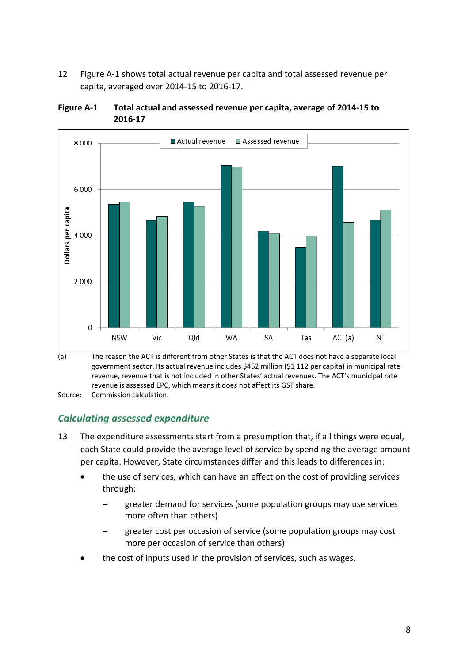12 [Figure A-1](#page-10-0) shows total actual revenue per capita and total assessed revenue per capita, averaged over 2014-15 to 2016-17.



<span id="page-10-0"></span>

Source: Commission calculation.

### *Calculating assessed expenditure*

- 13 The expenditure assessments start from a presumption that, if all things were equal, each State could provide the average level of service by spending the average amount per capita. However, State circumstances differ and this leads to differences in:
	- the use of services, which can have an effect on the cost of providing services through:
		- greater demand for services (some population groups may use services more often than others)
		- greater cost per occasion of service (some population groups may cost more per occasion of service than others)
	- the cost of inputs used in the provision of services, such as wages.

<sup>(</sup>a) The reason the ACT is different from other States is that the ACT does not have a separate local government sector. Its actual revenue includes \$452 million (\$1 112 per capita) in municipal rate revenue, revenue that is not included in other States' actual revenues. The ACT's municipal rate revenue is assessed EPC, which means it does not affect its GST share.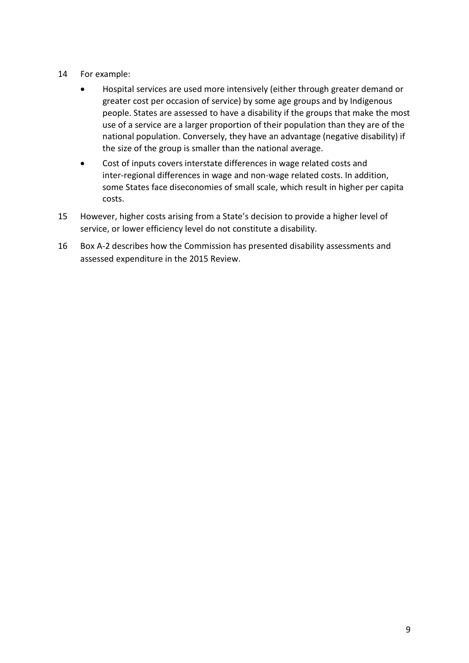- 14 For example:
	- Hospital services are used more intensively (either through greater demand or greater cost per occasion of service) by some age groups and by Indigenous people. States are assessed to have a disability if the groups that make the most use of a service are a larger proportion of their population than they are of the national population. Conversely, they have an advantage (negative disability) if the size of the group is smaller than the national average.
	- Cost of inputs covers interstate differences in wage related costs and inter-regional differences in wage and non-wage related costs. In addition, some States face diseconomies of small scale, which result in higher per capita costs.
- 15 However, higher costs arising from a State's decision to provide a higher level of service, or lower efficiency level do not constitute a disability.
- 16 Box A-2 describes how the Commission has presented disability assessments and assessed expenditure in the 2015 Review.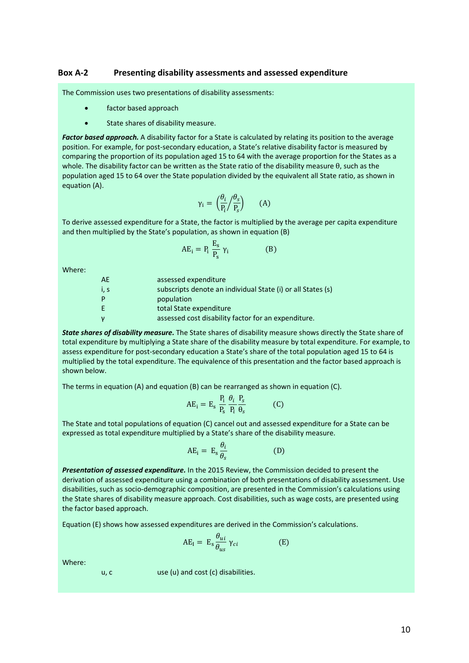#### **Box A-2 Presenting disability assessments and assessed expenditure**

The Commission uses two presentations of disability assessments:

- factor based approach
- State shares of disability measure.

*Factor based approach.* A disability factor for a State is calculated by relating its position to the average position. For example, for post-secondary education, a State's relative disability factor is measured by comparing the proportion of its population aged 15 to 64 with the average proportion for the States as a whole. The disability factor can be written as the State ratio of the disability measure θ, such as the population aged 15 to 64 over the State population divided by the equivalent all State ratio, as shown in equation (A).

$$
\gamma_i = \left(\frac{\theta_i}{P_i} / \frac{\theta_s}{P_s}\right) \qquad (A)
$$

To derive assessed expenditure for a State, the factor is multiplied by the average per capita expenditure and then multiplied by the State's population, as shown in equation (B)

$$
AE_i = P_i \frac{E_s}{P_s} \gamma_i
$$
 (B)

Where:

| AE.  | assessed expenditure                                        |
|------|-------------------------------------------------------------|
| i, s | subscripts denote an individual State (i) or all States (s) |
| P    | population                                                  |
| E    | total State expenditure                                     |
|      | assessed cost disability factor for an expenditure.         |

*State shares of disability measure.* The State shares of disability measure shows directly the State share of total expenditure by multiplying a State share of the disability measure by total expenditure. For example, to assess expenditure for post-secondary education a State's share of the total population aged 15 to 64 is multiplied by the total expenditure. The equivalence of this presentation and the factor based approach is shown below.

The terms in equation (A) and equation (B) can be rearranged as shown in equation (C).

$$
AE_i = E_s \frac{P_i}{P_s} \frac{\theta_i}{P_i} \frac{P_s}{\theta_s}
$$
 (C)

The State and total populations of equation (C) cancel out and assessed expenditure for a State can be expressed as total expenditure multiplied by a State's share of the disability measure.

$$
AE_i = E_s \frac{\theta_i}{\theta_s}
$$
 (D)

*Presentation of assessed expenditure.* In the 2015 Review, the Commission decided to present the derivation of assessed expenditure using a combination of both presentations of disability assessment. Use disabilities, such as socio-demographic composition, are presented in the Commission's calculations using the State shares of disability measure approach. Cost disabilities, such as wage costs, are presented using the factor based approach.

Equation (E) shows how assessed expenditures are derived in the Commission's calculations.

$$
AE_{I} = E_{s} \frac{\theta_{ui}}{\theta_{us}} \gamma_{ci}
$$
 (E)

Where:

u, c use (u) and cost (c) disabilities.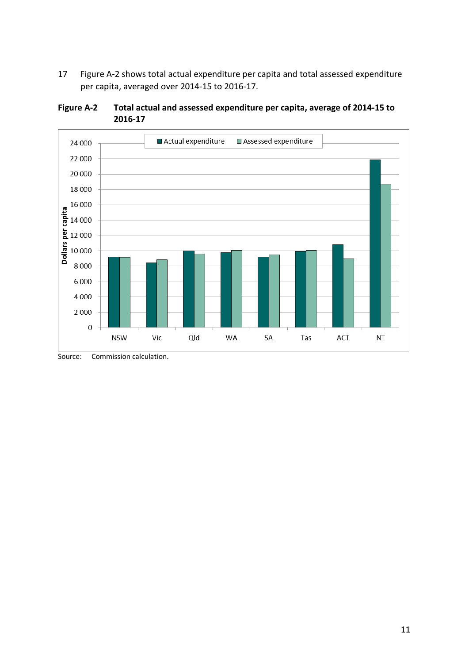17 [Figure A-2](#page-13-0) shows total actual expenditure per capita and total assessed expenditure per capita, averaged over 2014-15 to 2016-17.



<span id="page-13-0"></span>**Figure A-2 Total actual and assessed expenditure per capita, average of 2014-15 to 2016-17**

Source: Commission calculation.